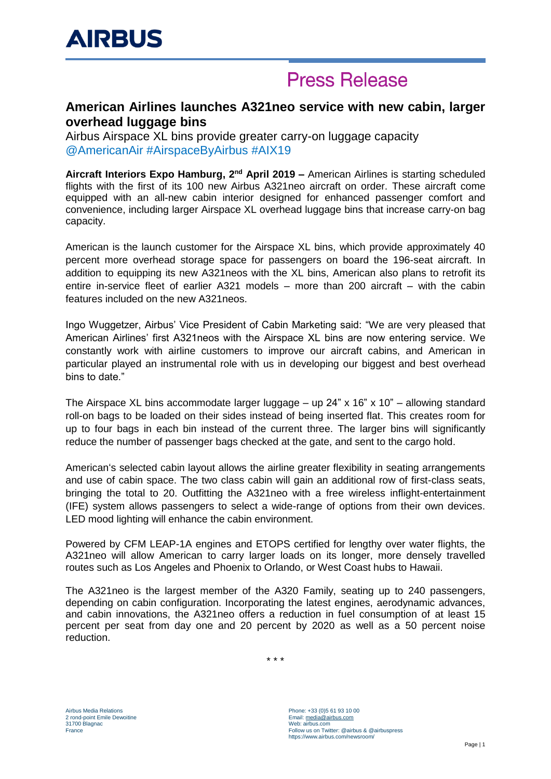# **Press Release**

### **American Airlines launches A321neo service with new cabin, larger overhead luggage bins**

Airbus Airspace XL bins provide greater carry-on luggage capacity @AmericanAir #AirspaceByAirbus #AIX19

Aircraft Interiors Expo Hamburg, 2<sup>nd</sup> April 2019 – American Airlines is starting scheduled flights with the first of its 100 new Airbus A321neo aircraft on order. These aircraft come equipped with an all-new cabin interior designed for enhanced passenger comfort and convenience, including larger Airspace XL overhead luggage bins that increase carry-on bag capacity.

American is the launch customer for the Airspace XL bins, which provide approximately 40 percent more overhead storage space for passengers on board the 196-seat aircraft. In addition to equipping its new A321neos with the XL bins, American also plans to retrofit its entire in-service fleet of earlier A321 models – more than 200 aircraft – with the cabin features included on the new A321neos.

Ingo Wuggetzer, Airbus' Vice President of Cabin Marketing said: "We are very pleased that American Airlines' first A321neos with the Airspace XL bins are now entering service. We constantly work with airline customers to improve our aircraft cabins, and American in particular played an instrumental role with us in developing our biggest and best overhead bins to date."

The Airspace XL bins accommodate larger luggage – up  $24" \times 16" \times 10"$  – allowing standard roll-on bags to be loaded on their sides instead of being inserted flat. This creates room for up to four bags in each bin instead of the current three. The larger bins will significantly reduce the number of passenger bags checked at the gate, and sent to the cargo hold.

American's selected cabin layout allows the airline greater flexibility in seating arrangements and use of cabin space. The two class cabin will gain an additional row of first-class seats, bringing the total to 20. Outfitting the A321neo with a free wireless inflight-entertainment (IFE) system allows passengers to select a wide-range of options from their own devices. LED mood lighting will enhance the cabin environment.

Powered by CFM LEAP-1A engines and ETOPS certified for lengthy over water flights, the A321neo will allow American to carry larger loads on its longer, more densely travelled routes such as Los Angeles and Phoenix to Orlando, or West Coast hubs to Hawaii.

The A321neo is the largest member of the A320 Family, seating up to 240 passengers, depending on cabin configuration. Incorporating the latest engines, aerodynamic advances, and cabin innovations, the A321neo offers a reduction in fuel consumption of at least 15 percent per seat from day one and 20 percent by 2020 as well as a 50 percent noise reduction.

\* \* \*

Airbus Media Relations 2 rond-point Emile Dewoitine 31700 Blagnac France